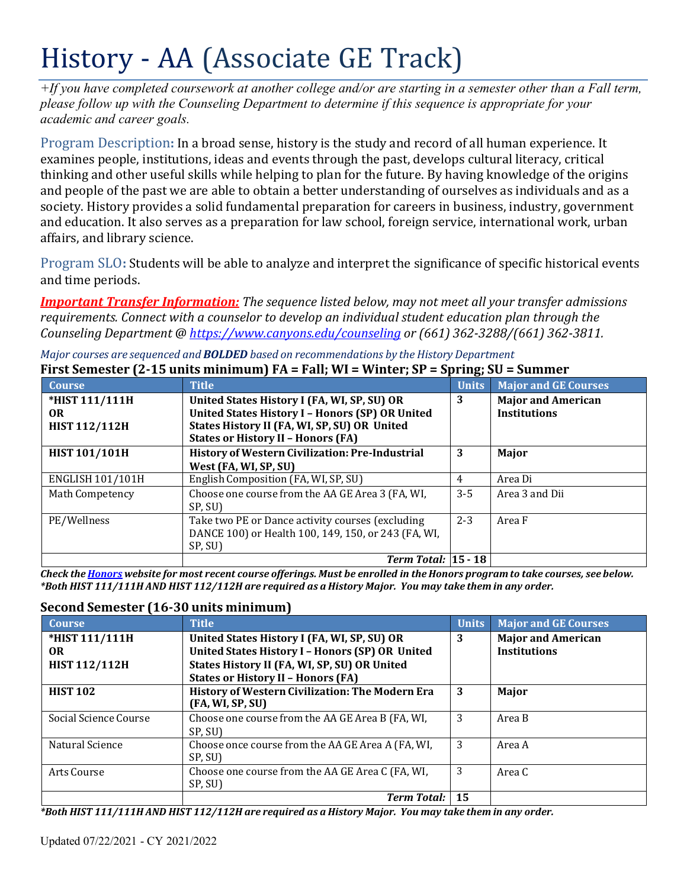# History - AA (Associate GE Track)

*+If you have completed coursework at another college and/or are starting in a semester other than a Fall term, please follow up with the Counseling Department to determine if this sequence is appropriate for your academic and career goals.*

Program Description**:** In a broad sense, history is the study and record of all human experience. It examines people, institutions, ideas and events through the past, develops cultural literacy, critical thinking and other useful skills while helping to plan for the future. By having knowledge of the origins and people of the past we are able to obtain a better understanding of ourselves as individuals and as a society. History provides a solid fundamental preparation for careers in business, industry, government and education. It also serves as a preparation for law school, foreign service, international work, urban affairs, and library science.

Program SLO**:** Students will be able to analyze and interpret the significance of specific historical events and time periods.

*Important Transfer Information: The sequence listed below, may not meet all your transfer admissions requirements. Connect with a counselor to develop an individual student education plan through the Counseling Department @ <https://www.canyons.edu/counseling> or (661) 362-3288/(661) 362-3811.*

*Major courses are sequenced and BOLDED based on recommendations by the History Department*

| <b>Course</b>           | <b>Title</b>                                                                              | <u>。</u><br><b>Units</b> | <b>Major and GE Courses</b> |  |
|-------------------------|-------------------------------------------------------------------------------------------|--------------------------|-----------------------------|--|
| *HIST 111/111H          | United States History I (FA, WI, SP, SU) OR                                               | 3                        | <b>Major and American</b>   |  |
| OR.                     | <b>United States History I - Honors (SP) OR United</b>                                    |                          | <b>Institutions</b>         |  |
| <b>HIST 112/112H</b>    | States History II (FA, WI, SP, SU) OR United<br><b>States or History II - Honors (FA)</b> |                          |                             |  |
| <b>HIST 101/101H</b>    | <b>History of Western Civilization: Pre-Industrial</b>                                    | 3                        | Major                       |  |
|                         | West (FA, WI, SP, SU)                                                                     |                          |                             |  |
| <b>ENGLISH 101/101H</b> | English Composition (FA, WI, SP, SU)                                                      | 4                        | Area Di                     |  |
| Math Competency         | Choose one course from the AA GE Area 3 (FA, WI,<br>SP, SU)                               | $3 - 5$                  | Area 3 and Dii              |  |
| PE/Wellness             | Take two PE or Dance activity courses (excluding                                          | $2 - 3$                  | Area F                      |  |
|                         | DANCE 100) or Health 100, 149, 150, or 243 (FA, WI,                                       |                          |                             |  |
|                         | SP, SU)                                                                                   |                          |                             |  |
|                         | Term Total: $ 15 - 18 $                                                                   |                          |                             |  |

**First Semester (2-15 units minimum) FA = Fall; WI = Winter; SP = Spring; SU = Summer**

Check the Honors website for most recent course offerings. Must be enrolled in the Honors program to take courses, see below. \*Both HIST 111/111H AND HIST 112/112H are required as a History Major. You may take them in any order.

# **Second Semester (16-30 units minimum)**

| <b>Course</b>         | <b>Title</b>                                                        | <b>Units</b> | <b>Major and GE Courses</b> |
|-----------------------|---------------------------------------------------------------------|--------------|-----------------------------|
| *HIST 111/111H        | United States History I (FA, WI, SP, SU) OR                         | 3            | <b>Major and American</b>   |
| OR.                   | United States History I - Honors (SP) OR United                     |              | <b>Institutions</b>         |
| <b>HIST 112/112H</b>  | States History II (FA, WI, SP, SU) OR United                        |              |                             |
|                       | <b>States or History II - Honors (FA)</b>                           |              |                             |
| <b>HIST 102</b>       | History of Western Civilization: The Modern Era<br>(FA, WI, SP, SU) | 3            | Major                       |
| Social Science Course | Choose one course from the AA GE Area B (FA, WI,<br>SP, SU)         | 3            | Area B                      |
| Natural Science       | Choose once course from the AA GE Area A (FA, WI,<br>SP, SU)        | 3            | Area A                      |
| Arts Course           | Choose one course from the AA GE Area C (FA, WI,<br>SP, SU)         | 3            | Area C                      |
|                       | Term Total: 15                                                      |              |                             |

*\*Both HIST 111/111H AND HIST 112/112H are required as a History Major. You may take them in any order.*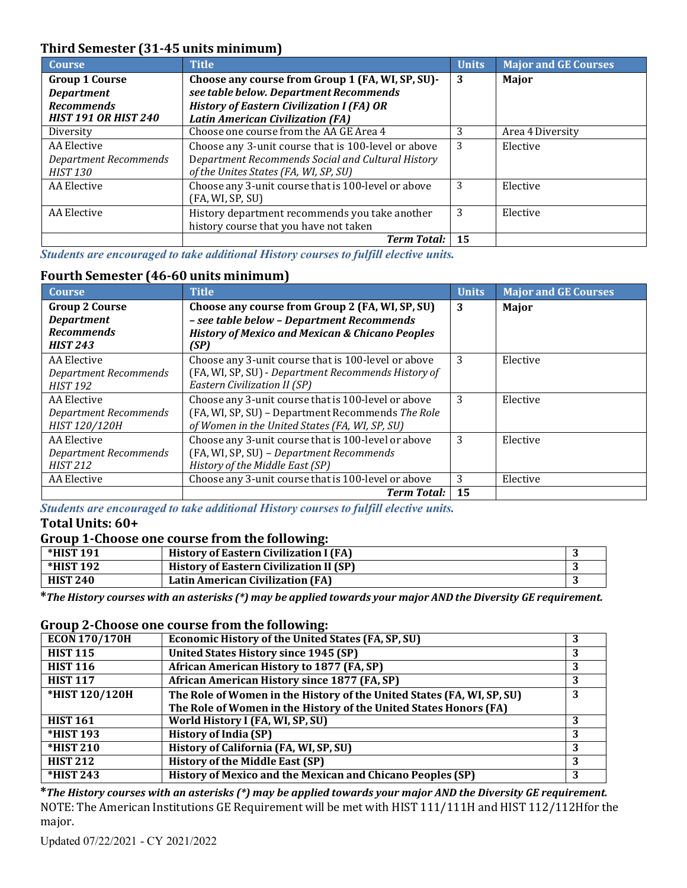# **Third Semester (31-45 units minimum)**

| <b>Course</b>                | <b>Title</b>                                        | <b>Units</b> | <b>Major and GE Courses</b> |
|------------------------------|-----------------------------------------------------|--------------|-----------------------------|
| <b>Group 1 Course</b>        | Choose any course from Group 1 (FA, WI, SP, SU)-    | 3            | Major                       |
| <b>Department</b>            | see table below. Department Recommends              |              |                             |
| <b>Recommends</b>            | <b>History of Eastern Civilization I (FA) OR</b>    |              |                             |
| <b>HIST 191 OR HIST 240</b>  | <b>Latin American Civilization (FA)</b>             |              |                             |
| Diversity                    | Choose one course from the AA GE Area 4             | 3            | Area 4 Diversity            |
| AA Elective                  | Choose any 3-unit course that is 100-level or above | 3            | Elective                    |
| <b>Department Recommends</b> | Department Recommends Social and Cultural History   |              |                             |
| <b>HIST 130</b>              | of the Unites States (FA, WI, SP, SU)               |              |                             |
| AA Elective                  | Choose any 3-unit course that is 100-level or above | 3            | Elective                    |
|                              | (FA, WI, SP, SU)                                    |              |                             |
| AA Elective                  | History department recommends you take another      | 3            | Elective                    |
|                              | history course that you have not taken              |              |                             |
|                              | <b>Term Total:</b>                                  | 15           |                             |

*Students are encouraged to take additional History courses to fulfill elective units.*

# **Fourth Semester (46-60 units minimum)**

| <b>Course</b>                | <b>Title</b>                                               | <b>Units</b> | <b>Major and GE Courses</b> |
|------------------------------|------------------------------------------------------------|--------------|-----------------------------|
| <b>Group 2 Course</b>        | Choose any course from Group 2 (FA, WI, SP, SU)            | 3            | Major                       |
| <b>Department</b>            | - see table below - Department Recommends                  |              |                             |
| <b>Recommends</b>            | <b>History of Mexico and Mexican &amp; Chicano Peoples</b> |              |                             |
| <b>HIST 243</b>              | (SP)                                                       |              |                             |
| AA Elective                  | Choose any 3-unit course that is 100-level or above        | 3            | Elective                    |
| <b>Department Recommends</b> | (FA, WI, SP, SU) - Department Recommends History of        |              |                             |
| <b>HIST 192</b>              | Eastern Civilization II (SP)                               |              |                             |
| AA Elective                  | Choose any 3-unit course that is 100-level or above        | 3            | Elective                    |
| <b>Department Recommends</b> | (FA, WI, SP, SU) - Department Recommends The Role          |              |                             |
| HIST 120/120H                | of Women in the United States (FA, WI, SP, SU)             |              |                             |
| AA Elective                  | Choose any 3-unit course that is 100-level or above        | 3            | Elective                    |
| Department Recommends        | (FA, WI, SP, SU) - Department Recommends                   |              |                             |
| <b>HIST 212</b>              | History of the Middle East (SP)                            |              |                             |
| AA Elective                  | Choose any 3-unit course that is 100-level or above        | 3            | Elective                    |
|                              | <b>Term Total:</b>                                         | 15           |                             |

*Students are encouraged to take additional History courses to fulfill elective units.* **Total Units: 60+**

#### **Group 1-Choose one course from the following:**

| *HIST 191        | <b>History of Eastern Civilization I (FA)</b>  |  |
|------------------|------------------------------------------------|--|
| <b>*HIST 192</b> | <b>History of Eastern Civilization II (SP)</b> |  |
| <b>HIST 240</b>  | Latin American Civilization (FA)               |  |

\* The History courses with an asterisks (\*) may be applied towards your major AND the Diversity GE requirement.

#### **Group 2-Choose one course from the following:**

| $\overline{ECON170}/170H$ | <b>Economic History of the United States (FA, SP, SU)</b>              |   |
|---------------------------|------------------------------------------------------------------------|---|
| <b>HIST 115</b>           | United States History since 1945 (SP)                                  |   |
| <b>HIST 116</b>           | African American History to 1877 (FA, SP)                              |   |
| <b>HIST 117</b>           | African American History since 1877 (FA, SP)                           | 3 |
| *HIST 120/120H            | The Role of Women in the History of the United States (FA, WI, SP, SU) | 3 |
|                           | The Role of Women in the History of the United States Honors (FA)      |   |
| <b>HIST 161</b>           | World History I (FA, WI, SP, SU)                                       |   |
| <b>*HIST 193</b>          | <b>History of India (SP)</b>                                           | 3 |
| <b>*HIST 210</b>          | History of California (FA, WI, SP, SU)                                 |   |
| <b>HIST 212</b>           | <b>History of the Middle East (SP)</b>                                 |   |
| *HIST 243                 | History of Mexico and the Mexican and Chicano Peoples (SP)             |   |

**\****The History courses with an asterisks (\*) may be applied towards your major AND the Diversity GE requirement.* NOTE: The American Institutions GE Requirement will be met with HIST 111/111H and HIST 112/112Hfor the major.